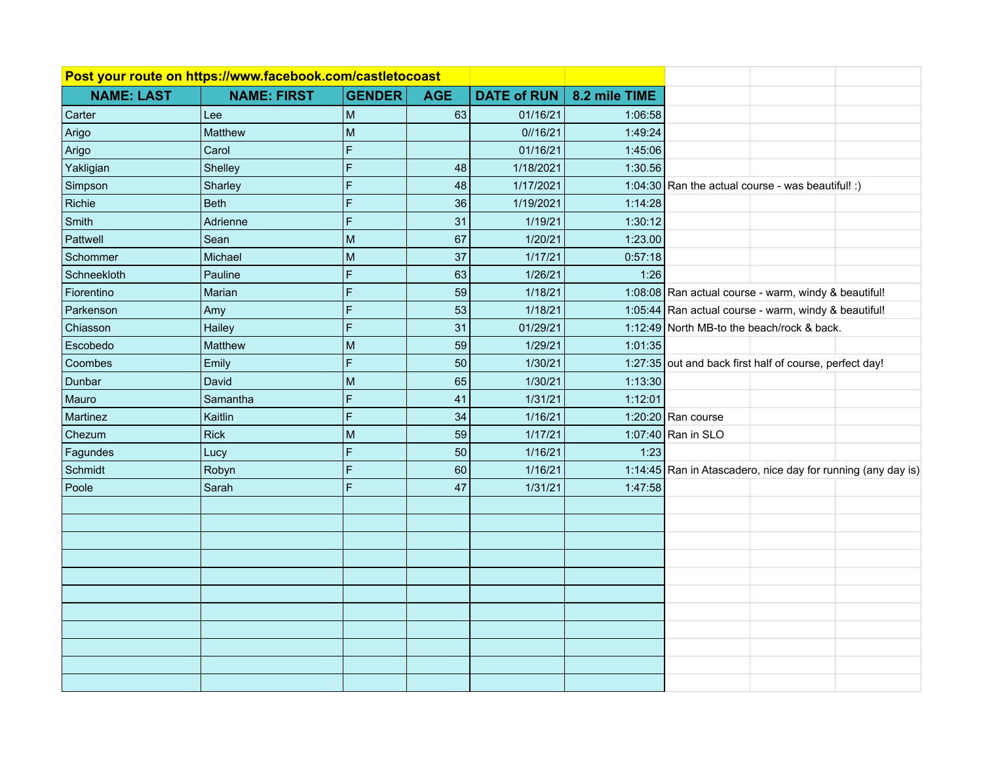| Post your route on https://www.facebook.com/castletocoast |                    |               |            |                    |               |                                                         |                                                              |
|-----------------------------------------------------------|--------------------|---------------|------------|--------------------|---------------|---------------------------------------------------------|--------------------------------------------------------------|
| <b>NAME: LAST</b>                                         | <b>NAME: FIRST</b> | <b>GENDER</b> | <b>AGE</b> | <b>DATE of RUN</b> | 8.2 mile TIME |                                                         |                                                              |
| Carter                                                    | Lee                | M             | 63         | 01/16/21           | 1:06:58       |                                                         |                                                              |
| Arigo                                                     | Matthew            | M             |            | 0/16/21            | 1:49:24       |                                                         |                                                              |
| Arigo                                                     | Carol              | F             |            | 01/16/21           | 1:45:06       |                                                         |                                                              |
| Yakligian                                                 | Shelley            | Ë             | 48         | 1/18/2021          | 1:30.56       |                                                         |                                                              |
| Simpson                                                   | Sharley            | F             | 48         | 1/17/2021          |               | 1:04:30 Ran the actual course - was beautiful! :)       |                                                              |
| Richie                                                    | <b>Beth</b>        | F             | 36         | 1/19/2021          | 1:14:28       |                                                         |                                                              |
| Smith                                                     | Adrienne           | Ë             | 31         | 1/19/21            | 1:30:12       |                                                         |                                                              |
| Pattwell                                                  | Sean               | M             | 67         | 1/20/21            | 1:23.00       |                                                         |                                                              |
| Schommer                                                  | Michael            | M             | 37         | 1/17/21            | 0:57:18       |                                                         |                                                              |
| Schneekloth                                               | Pauline            | F             | 63         | 1/26/21            | 1:26          |                                                         |                                                              |
| Fiorentino                                                | Marian             | F             | 59         | 1/18/21            |               | 1:08:08 Ran actual course - warm, windy & beautiful!    |                                                              |
| Parkenson                                                 | Amy                | Ë             | 53         | 1/18/21            |               | 1:05:44 Ran actual course - warm, windy & beautiful!    |                                                              |
| Chiasson                                                  | Hailey             | F             | 31         | 01/29/21           |               | 1:12:49 North MB-to the beach/rock & back.              |                                                              |
| Escobedo                                                  | Matthew            | М             | 59         | 1/29/21            | 1:01:35       |                                                         |                                                              |
| Coombes                                                   | Emily              | F             | 50         | 1/30/21            |               | 1:27:35 out and back first half of course, perfect day! |                                                              |
| Dunbar                                                    | David              | М             | 65         | 1/30/21            | 1:13:30       |                                                         |                                                              |
| Mauro                                                     | Samantha           | F             | 41         | 1/31/21            | 1:12:01       |                                                         |                                                              |
| Martinez                                                  | Kaitlin            | F             | 34         | 1/16/21            |               | 1:20:20 Ran course                                      |                                                              |
| Chezum                                                    | <b>Rick</b>        | M             | 59         | 1/17/21            |               | 1:07:40 Ran in SLO                                      |                                                              |
| Fagundes                                                  | Lucy               | F             | 50         | 1/16/21            | 1:23          |                                                         |                                                              |
| Schmidt                                                   | Robyn              | F             | 60         | 1/16/21            |               |                                                         | 1:14:45 Ran in Atascadero, nice day for running (any day is) |
| Poole                                                     | Sarah              | F             | 47         | 1/31/21            | 1:47:58       |                                                         |                                                              |
|                                                           |                    |               |            |                    |               |                                                         |                                                              |
|                                                           |                    |               |            |                    |               |                                                         |                                                              |
|                                                           |                    |               |            |                    |               |                                                         |                                                              |
|                                                           |                    |               |            |                    |               |                                                         |                                                              |
|                                                           |                    |               |            |                    |               |                                                         |                                                              |
|                                                           |                    |               |            |                    |               |                                                         |                                                              |
|                                                           |                    |               |            |                    |               |                                                         |                                                              |
|                                                           |                    |               |            |                    |               |                                                         |                                                              |
|                                                           |                    |               |            |                    |               |                                                         |                                                              |
|                                                           |                    |               |            |                    |               |                                                         |                                                              |
|                                                           |                    |               |            |                    |               |                                                         |                                                              |